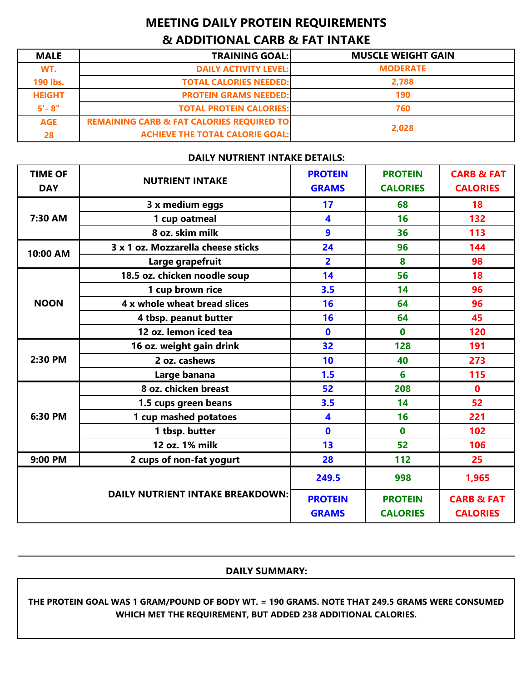## **MEETING DAILY PROTEIN REQUIREMENTS & ADDITIONAL CARB & FAT INTAKE**

| <b>MALE</b>   | <b>TRAINING GOAL:</b>                                | <b>MUSCLE WEIGHT GAIN</b> |  |
|---------------|------------------------------------------------------|---------------------------|--|
| WT.           | <b>DAILY ACTIVITY LEVEL:</b>                         | <b>MODERATE</b>           |  |
| 190 lbs.      | <b>TOTAL CALORIES NEEDED:</b>                        | 2,788                     |  |
| <b>HEIGHT</b> | <b>PROTEIN GRAMS NEEDED:</b>                         | 190                       |  |
| $5 - 8"$      | <b>TOTAL PROTEIN CALORIES:</b>                       | 760                       |  |
| <b>AGE</b>    | <b>REMAINING CARB &amp; FAT CALORIES REQUIRED TO</b> | 2,028                     |  |
| 28            | <b>ACHIEVE THE TOTAL CALORIE GOAL:</b>               |                           |  |

## **DAILY NUTRIENT INTAKE DETAILS:**

| <b>TIME OF</b><br><b>DAY</b>            | <b>NUTRIENT INTAKE</b>             | <b>PROTEIN</b><br><b>GRAMS</b> | <b>PROTEIN</b><br><b>CALORIES</b> | <b>CARB &amp; FAT</b><br><b>CALORIES</b> |
|-----------------------------------------|------------------------------------|--------------------------------|-----------------------------------|------------------------------------------|
|                                         | 3 x medium eggs                    | 17                             | 68                                | 18                                       |
| 7:30 AM                                 | 1 cup oatmeal                      | 4                              | 16                                | 132                                      |
|                                         | 8 oz. skim milk                    | 9                              | 36                                | 113                                      |
| 10:00 AM                                | 3 x 1 oz. Mozzarella cheese sticks | 24                             | 96                                | 144                                      |
|                                         | Large grapefruit                   | $\overline{2}$                 | 8                                 | 98                                       |
|                                         | 18.5 oz. chicken noodle soup       | 14                             | 56                                | 18                                       |
|                                         | 1 cup brown rice                   | 3.5                            | 14                                | 96                                       |
| <b>NOON</b>                             | 4 x whole wheat bread slices       | 16                             | 64                                | 96                                       |
|                                         | 4 tbsp. peanut butter              | 16                             | 64                                | 45                                       |
|                                         | 12 oz. lemon iced tea              | $\mathbf{0}$                   | $\bf{0}$                          | 120                                      |
|                                         | 16 oz. weight gain drink           | 32                             | 128                               | 191                                      |
| 2:30 PM                                 | 2 oz. cashews                      | 10                             | 40                                | 273                                      |
|                                         | Large banana                       | 1.5                            | 6                                 | 115                                      |
|                                         | 8 oz. chicken breast               | 52                             | 208                               | $\mathbf{0}$                             |
|                                         | 1.5 cups green beans               | 3.5                            | 14                                | 52                                       |
| 6:30 PM                                 | 1 cup mashed potatoes              | 4                              | 16                                | 221                                      |
|                                         | 1 tbsp. butter                     | $\mathbf 0$                    | $\mathbf 0$                       | 102                                      |
|                                         | 12 oz. 1% milk                     | 13                             | 52                                | 106                                      |
| 9:00 PM                                 | 2 cups of non-fat yogurt           | 28                             | 112                               | 25                                       |
| <b>DAILY NUTRIENT INTAKE BREAKDOWN:</b> |                                    | 249.5                          | 998                               | 1,965                                    |
|                                         |                                    | <b>PROTEIN</b><br><b>GRAMS</b> | <b>PROTEIN</b><br><b>CALORIES</b> | <b>CARB &amp; FAT</b><br><b>CALORIES</b> |

## **DAILY SUMMARY:**

**THE PROTEIN GOAL WAS 1 GRAM/POUND OF BODY WT. = 190 GRAMS. NOTE THAT 249.5 GRAMS WERE CONSUMED WHICH MET THE REQUIREMENT, BUT ADDED 238 ADDITIONAL CALORIES.**